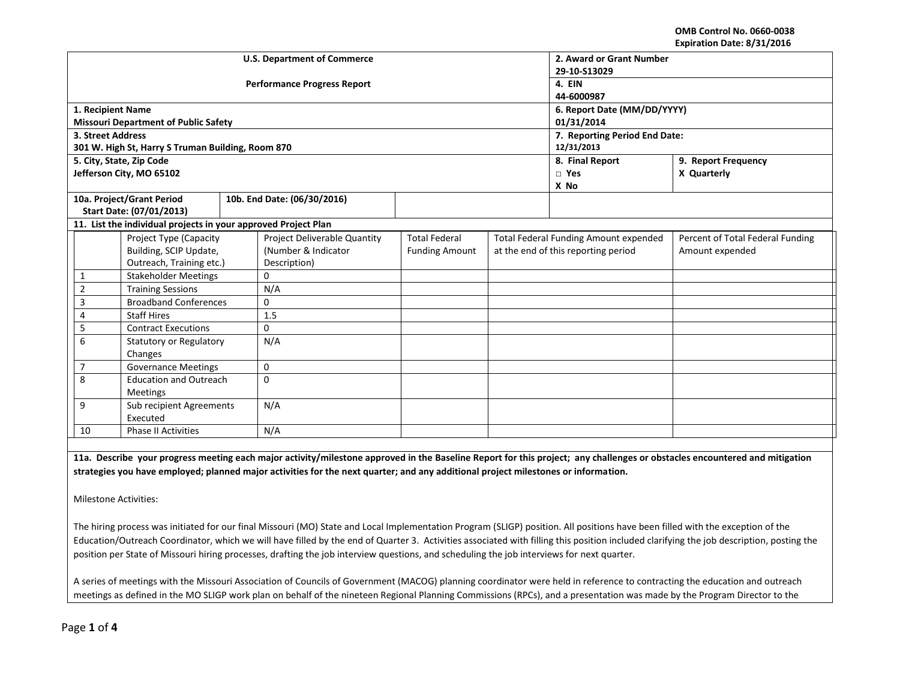**OMB Control No. 0660-0038 Expiration Date: 8/31/2016**

| <b>U.S. Department of Commerce</b> |                                                                |  |                                    |                               |                                              | 2. Award or Grant Number |                                                                                                                                                                            |  |  |
|------------------------------------|----------------------------------------------------------------|--|------------------------------------|-------------------------------|----------------------------------------------|--------------------------|----------------------------------------------------------------------------------------------------------------------------------------------------------------------------|--|--|
|                                    |                                                                |  |                                    | 29-10-S13029                  |                                              |                          |                                                                                                                                                                            |  |  |
|                                    |                                                                |  | <b>Performance Progress Report</b> | 4. EIN                        |                                              |                          |                                                                                                                                                                            |  |  |
|                                    |                                                                |  |                                    | 44-6000987                    |                                              |                          |                                                                                                                                                                            |  |  |
|                                    | 1. Recipient Name                                              |  |                                    |                               |                                              |                          | 6. Report Date (MM/DD/YYYY)                                                                                                                                                |  |  |
|                                    | <b>Missouri Department of Public Safety</b>                    |  |                                    |                               |                                              | 01/31/2014               |                                                                                                                                                                            |  |  |
| 3. Street Address                  |                                                                |  |                                    | 7. Reporting Period End Date: |                                              |                          |                                                                                                                                                                            |  |  |
|                                    | 301 W. High St, Harry S Truman Building, Room 870              |  |                                    |                               | 12/31/2013                                   |                          |                                                                                                                                                                            |  |  |
|                                    | 5. City, State, Zip Code                                       |  |                                    |                               |                                              | 8. Final Report          | 9. Report Frequency                                                                                                                                                        |  |  |
|                                    | Jefferson City, MO 65102                                       |  |                                    |                               |                                              | $\square$ Yes            | X Quarterly                                                                                                                                                                |  |  |
|                                    |                                                                |  |                                    |                               |                                              | X No                     |                                                                                                                                                                            |  |  |
|                                    | 10a. Project/Grant Period                                      |  | 10b. End Date: (06/30/2016)        |                               |                                              |                          |                                                                                                                                                                            |  |  |
|                                    | Start Date: (07/01/2013)                                       |  |                                    |                               |                                              |                          |                                                                                                                                                                            |  |  |
|                                    | 11. List the individual projects in your approved Project Plan |  |                                    |                               |                                              |                          |                                                                                                                                                                            |  |  |
|                                    | Project Type (Capacity                                         |  | Project Deliverable Quantity       | <b>Total Federal</b>          | <b>Total Federal Funding Amount expended</b> |                          | Percent of Total Federal Funding                                                                                                                                           |  |  |
|                                    | Building, SCIP Update,                                         |  | (Number & Indicator                | <b>Funding Amount</b>         | at the end of this reporting period          |                          | Amount expended                                                                                                                                                            |  |  |
|                                    | Outreach, Training etc.)                                       |  | Description)                       |                               |                                              |                          |                                                                                                                                                                            |  |  |
| 1                                  | <b>Stakeholder Meetings</b>                                    |  | 0                                  |                               |                                              |                          |                                                                                                                                                                            |  |  |
| $\overline{2}$                     | <b>Training Sessions</b>                                       |  | N/A                                |                               |                                              |                          |                                                                                                                                                                            |  |  |
| 3                                  | <b>Broadband Conferences</b>                                   |  | 0                                  |                               |                                              |                          |                                                                                                                                                                            |  |  |
| 4                                  | <b>Staff Hires</b>                                             |  | 1.5                                |                               |                                              |                          |                                                                                                                                                                            |  |  |
| 5                                  | <b>Contract Executions</b>                                     |  | $\Omega$                           |                               |                                              |                          |                                                                                                                                                                            |  |  |
| 6                                  | <b>Statutory or Regulatory</b>                                 |  | N/A                                |                               |                                              |                          |                                                                                                                                                                            |  |  |
| Changes                            |                                                                |  |                                    |                               |                                              |                          |                                                                                                                                                                            |  |  |
| 7                                  | <b>Governance Meetings</b>                                     |  | 0                                  |                               |                                              |                          |                                                                                                                                                                            |  |  |
| 8                                  | <b>Education and Outreach</b>                                  |  | $\Omega$                           |                               |                                              |                          |                                                                                                                                                                            |  |  |
| <b>Meetings</b>                    |                                                                |  |                                    |                               |                                              |                          |                                                                                                                                                                            |  |  |
| 9                                  | Sub recipient Agreements                                       |  | N/A                                |                               |                                              |                          |                                                                                                                                                                            |  |  |
|                                    | Executed                                                       |  |                                    |                               |                                              |                          |                                                                                                                                                                            |  |  |
| 10                                 | <b>Phase II Activities</b>                                     |  | N/A                                |                               |                                              |                          |                                                                                                                                                                            |  |  |
|                                    |                                                                |  |                                    |                               |                                              |                          |                                                                                                                                                                            |  |  |
|                                    |                                                                |  |                                    |                               |                                              |                          | 11a. Describe your progress meeting each major activity/milestone approved in the Baseline Report for this project; any challenges or obstacles encountered and mitigation |  |  |

**strategies you have employed; planned major activities for the next quarter; and any additional project milestones or information.**

Milestone Activities:

The hiring process was initiated for our final Missouri (MO) State and Local Implementation Program (SLIGP) position. All positions have been filled with the exception of the Education/Outreach Coordinator, which we will have filled by the end of Quarter 3. Activities associated with filling this position included clarifying the job description, posting the position per State of Missouri hiring processes, drafting the job interview questions, and scheduling the job interviews for next quarter.

A series of meetings with the Missouri Association of Councils of Government (MACOG) planning coordinator were held in reference to contracting the education and outreach meetings as defined in the MO SLIGP work plan on behalf of the nineteen Regional Planning Commissions (RPCs), and a presentation was made by the Program Director to the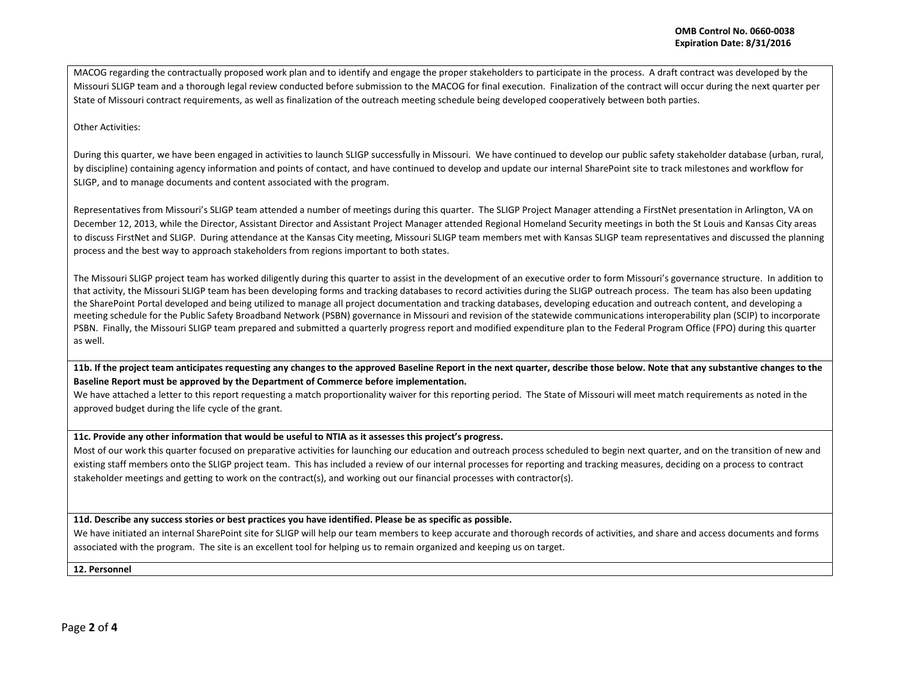MACOG regarding the contractually proposed work plan and to identify and engage the proper stakeholders to participate in the process. A draft contract was developed by the Missouri SLIGP team and a thorough legal review conducted before submission to the MACOG for final execution. Finalization of the contract will occur during the next quarter per State of Missouri contract requirements, as well as finalization of the outreach meeting schedule being developed cooperatively between both parties.

### Other Activities:

During this quarter, we have been engaged in activities to launch SLIGP successfully in Missouri. We have continued to develop our public safety stakeholder database (urban, rural, by discipline) containing agency information and points of contact, and have continued to develop and update our internal SharePoint site to track milestones and workflow for SLIGP, and to manage documents and content associated with the program.

Representatives from Missouri's SLIGP team attended a number of meetings during this quarter. The SLIGP Project Manager attending a FirstNet presentation in Arlington, VA on December 12, 2013, while the Director, Assistant Director and Assistant Project Manager attended Regional Homeland Security meetings in both the St Louis and Kansas City areas to discuss FirstNet and SLIGP. During attendance at the Kansas City meeting, Missouri SLIGP team members met with Kansas SLIGP team representatives and discussed the planning process and the best way to approach stakeholders from regions important to both states.

The Missouri SLIGP project team has worked diligently during this quarter to assist in the development of an executive order to form Missouri's governance structure. In addition to that activity, the Missouri SLIGP team has been developing forms and tracking databases to record activities during the SLIGP outreach process. The team has also been updating the SharePoint Portal developed and being utilized to manage all project documentation and tracking databases, developing education and outreach content, and developing a meeting schedule for the Public Safety Broadband Network (PSBN) governance in Missouri and revision of the statewide communications interoperability plan (SCIP) to incorporate PSBN. Finally, the Missouri SLIGP team prepared and submitted a quarterly progress report and modified expenditure plan to the Federal Program Office (FPO) during this quarter as well.

**11b. If the project team anticipates requesting any changes to the approved Baseline Report in the next quarter, describe those below. Note that any substantive changes to the Baseline Report must be approved by the Department of Commerce before implementation.**

We have attached a letter to this report requesting a match proportionality waiver for this reporting period. The State of Missouri will meet match requirements as noted in the approved budget during the life cycle of the grant.

### **11c. Provide any other information that would be useful to NTIA as it assesses this project's progress.**

Most of our work this quarter focused on preparative activities for launching our education and outreach process scheduled to begin next quarter, and on the transition of new and existing staff members onto the SLIGP project team. This has included a review of our internal processes for reporting and tracking measures, deciding on a process to contract stakeholder meetings and getting to work on the contract(s), and working out our financial processes with contractor(s).

**11d. Describe any success stories or best practices you have identified. Please be as specific as possible.**

We have initiated an internal SharePoint site for SLIGP will help our team members to keep accurate and thorough records of activities, and share and access documents and forms associated with the program. The site is an excellent tool for helping us to remain organized and keeping us on target.

**12. Personnel**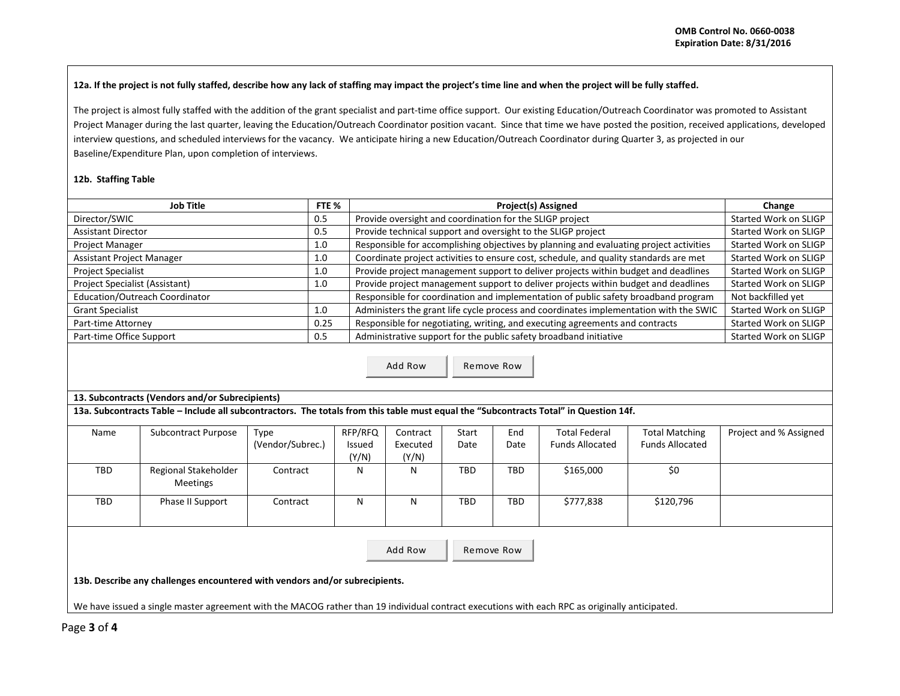# **12a. If the project is not fully staffed, describe how any lack of staffing may impact the project's time line and when the project will be fully staffed.**

The project is almost fully staffed with the addition of the grant specialist and part-time office support. Our existing Education/Outreach Coordinator was promoted to Assistant Project Manager during the last quarter, leaving the Education/Outreach Coordinator position vacant. Since that time we have posted the position, received applications, developed interview questions, and scheduled interviews for the vacancy. We anticipate hiring a new Education/Outreach Coordinator during Quarter 3, as projected in our Baseline/Expenditure Plan, upon completion of interviews.

## **12b. Staffing Table**

| Job Title                        | FTE % | Project(s) Assigned                                                                    | Change                |
|----------------------------------|-------|----------------------------------------------------------------------------------------|-----------------------|
| Director/SWIC                    | 0.5   | Provide oversight and coordination for the SLIGP project                               | Started Work on SLIGP |
| <b>Assistant Director</b>        | 0.5   | Provide technical support and oversight to the SLIGP project                           | Started Work on SLIGP |
| <b>Project Manager</b>           | 1.0   | Responsible for accomplishing objectives by planning and evaluating project activities | Started Work on SLIGP |
| <b>Assistant Project Manager</b> | 1.0   | Coordinate project activities to ensure cost, schedule, and quality standards are met  | Started Work on SLIGP |
| <b>Project Specialist</b>        | 1.0   | Provide project management support to deliver projects within budget and deadlines     | Started Work on SLIGP |
| Project Specialist (Assistant)   | 1.0   | Provide project management support to deliver projects within budget and deadlines     | Started Work on SLIGP |
| Education/Outreach Coordinator   |       | Responsible for coordination and implementation of public safety broadband program     | Not backfilled yet    |
| <b>Grant Specialist</b>          | 1.0   | Administers the grant life cycle process and coordinates implementation with the SWIC  | Started Work on SLIGP |
| Part-time Attorney               | 0.25  | Responsible for negotiating, writing, and executing agreements and contracts           | Started Work on SLIGP |
| Part-time Office Support         | 0.5   | Administrative support for the public safety broadband initiative                      | Started Work on SLIGP |

Add Row Remove Row

# **13. Subcontracts (Vendors and/or Subrecipients)**

**13a. Subcontracts Table – Include all subcontractors. The totals from this table must equal the "Subcontracts Total" in Question 14f.**

| Name                                                                        | <b>Subcontract Purpose</b> | Type             | RFP/RFQ | Contract | Start | End        | <b>Total Federal</b>   | <b>Total Matching</b>  | Project and % Assigned |
|-----------------------------------------------------------------------------|----------------------------|------------------|---------|----------|-------|------------|------------------------|------------------------|------------------------|
|                                                                             |                            |                  |         |          |       |            |                        |                        |                        |
|                                                                             |                            | (Vendor/Subrec.) | Issued  | Executed | Date  | Date       | <b>Funds Allocated</b> | <b>Funds Allocated</b> |                        |
|                                                                             |                            |                  | (Y/N)   | (Y/N)    |       |            |                        |                        |                        |
| TBD                                                                         | Regional Stakeholder       | Contract         | N       | N        | TBD   | <b>TBD</b> | \$165,000              | \$0                    |                        |
|                                                                             | <b>Meetings</b>            |                  |         |          |       |            |                        |                        |                        |
| TBD                                                                         | Phase II Support           | Contract         | N       | N        | TBD.  | <b>TBD</b> | \$777,838              | \$120,796              |                        |
|                                                                             |                            |                  |         |          |       |            |                        |                        |                        |
|                                                                             |                            |                  |         |          |       |            |                        |                        |                        |
|                                                                             |                            |                  |         |          |       |            |                        |                        |                        |
|                                                                             |                            |                  |         | Add Row  |       | Remove Row |                        |                        |                        |
|                                                                             |                            |                  |         |          |       |            |                        |                        |                        |
|                                                                             |                            |                  |         |          |       |            |                        |                        |                        |
| 13b. Describe any challenges encountered with vendors and/or subrecipients. |                            |                  |         |          |       |            |                        |                        |                        |

We have issued a single master agreement with the MACOG rather than 19 individual contract executions with each RPC as originally anticipated.

Page **3** of **4**